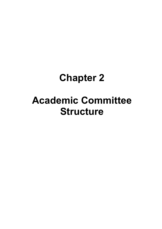## **Chapter 2**

# **Academic Committee Structure**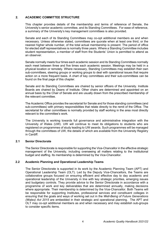## **2. ACADEMIC COMMITTEE STRUCTURE**

This chapter provides details of the membership and terms of reference of Senate, the University's senior academic committee, and its Standing Committees. For ease of reference, a summary of the University's key management committees is also provided.

Senate and each of its Standing Committees may co-opt additional members as and when necessary. Unless otherwise stated, committees are quorate when at least one third, or the nearest higher whole number, of the total actual membership is present. The period of office for elected staff representatives is normally three years. Where a Standing Committee includes student representation, a member of staff from the Students' Union is permitted to attend as an observer.

Senate normally meets four times each academic session and its Standing Committees normally each meet between three and five times each academic session. Meetings may be held in a physical location or remotely. Where necessary, Standing Committees may establish their own sub-committees, steering groups or working groups to deal with operational issues that require action on a more frequent basis. A chart of key committees and their sub-committees can be found on the final page of this chapter.

Senate and its Standing Committees are chaired by senior officers of the University. Institute Boards are chaired by Deans of Institute. Other chairs are determined and appointed on an annual basis by the Chair of Senate and are usually drawn from the prescribed membership of the relevant committee.

The Academic Office provides the secretariat for Senate and for those standing committees (and sub-committees) with primary responsibilities that relate directly to the remit of the Office. The secretariat for other committees is normally provided by staff working in the area most directly relevant to the committee's work.

The University is working towards full governance and administrative integration with the University of Wales (UW). UW will continue to meet its obligations to students who are registered on programmes of study leading to UW awards. Such programmes will be managed through the committees of UW, the details of which are available from the University Registry in Cardiff.

## **2.1 Senior Directorate**

The Senior Directorate is responsible for supporting the Vice-Chancellor in the effective strategic management of the University, including overseeing all matters relating to the institutional budget and staffing. Its membership is determined by the Vice-Chancellor.

## **2.2 Academic Planning and Operational Leadership Teams**

The Senior Directorate is supported in its work by the Academic Planning Team (APT) and Operational Leadership Team (OLT). Led by the Deputy Vice-Chancellors, the Teams are collaborative groups focused on ensuring efficient and effective day to day academic and operational leadership of the University in line with key strategic priorities, emerging issues and budgetary controls. They provide advice to the Senior Directorate in accordance with a programme of work and key deliverables that are determined annually, making decisions where appropriate. Their membership is determined by the Vice-Chancellor. Both Teams will be responsible for supporting Institutes, professional services and constituent colleges in ensuring that the goals and ways of working set out in the *Well-Being of Future Generations (Wales) Act 2015* are embedded in their strategic and operational planning. The APT and OLT may co-opt additional members as and when necessary and may establish sub-groups to consider specific items.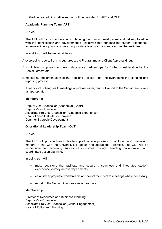Unified central administrative support will be provided for APT and OLT.

## **Academic Planning Team (APT)**

## **Duties**

The APT will focus upon academic planning, curriculum development and delivery together with the identification and development of initiatives that enhance the student experience, improve efficiency, and ensure an appropriate level of consistency across the Institutes.

In addition, it will be responsible for:

- (a) overseeing reports from its sub-group, the Programme and Client Approval Group;
- (b) scrutinising proposals for new collaborative partnerships for further consideration by the Senior Directorate;
- (c) monitoring implementation of the Fee and Access Plan and overseeing the planning and reporting process.

It will co-opt colleagues to meetings where necessary and will report to the Senior Directorate as appropriate.

## **Membership**

Deputy Vice-Chancellor (Academic) (Chair) Deputy Vice-Chancellor Associate Pro Vice-Chancellor (Academic Experience) Dean of each Institute (or nominee) Dean for Strategic Development

## **Operational Leadership Team (OLT)**

## **Duties**

The OLT will provide holistic leadership of service provision, monitoring and overseeing matters in line with the University's strategic and operational priorities. The OLT will be responsible for achieving successful outcomes through enabling collaboration and coordinated action planning.

In doing so it will:

- make decisions that facilitate and secure a seamless and integrated student experience journey across departments
- establish appropriate workstreams and co-opt members to meetings where necessary.
- report to the Senior Directorate as appropriate.

## **Membership**

Director of Resources and Business Planning Deputy Vice-Chancellor Associate Pro Vice-Chancellor (Global Engagement) Head of Policy and Planning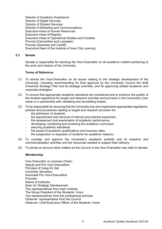Director of Academic Experience Director of Digital Services Director of Student Services Director of Marketing and Communications Executive Head of Human Resources Executive Head of Registry Executive Head of Operational Estates and Facilities Provost (Carmarthen and Lampeter) Provost (Swansea and Cardiff) Executive Dean of the Institute of Inner City Learning

## **2.3 Senate**

Senate is responsible for advising the Vice-Chancellor on all academic matters pertaining to the work and mission of the University.

#### **Terms of Reference**

- (1) To advise the Vice-Chancellor on all issues relating to the strategic development of the University, including recommending for final approval by the University Council the draft University Strategic Plan and its strategic priorities, and for approving related academic and corporate strategies;
- (2) To ensure that appropriate academic standards are maintained and to enhance the quality of the student experience for taught and research activities and provision in the University's own name or in partnership with validating and accrediting bodies;
- (3) To be responsible for ensuring that the University has and implements appropriate regulations, policies and procedures relating to taught and research provision for:
	- the admission of students,
	- the appointment and removal of internal and external examiners,
	- the assessment and examination of academic performance,
	- developing, monitoring and reviewing the academic curriculum,
	- assuring academic standards,
	- the award of academic qualifications and honorary titles,
	- the suspension or expulsion of students for academic reasons;
- (4) To consider and approve the University's academic portfolio and its research and commercialisation activities and the resources needed to support their delivery;
- (5) To advise on all such other matters as the Council or the Vice-Chancellor may refer to Senate.

#### **Membership**

Vice-Chancellor or nominee (Chair) Deputy and Pro Vice-Chancellors Principal of Coleg Sir Gâr University Secretary Associate Pro Vice-Chancellors Provosts Deans of Institutes Dean for Strategic Development Two representatives from each Institute The Group President of the Students' Union Two representatives from the professional services Observer: representative from the Council Observer: Chief Executive Officer of the Students' Union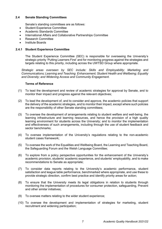## **2.4 Senate Standing Committees**

Senate's standing committees are as follows:

- Student Experience Committee
- Academic Standards Committee
- International Affairs and Collaborative Partnerships Committee
- Research Committee
- **Institute Boards**

## **2.4.1 Student Experience Committee**

The Student Experience Committee (SEC) is responsible for overseeing the University's strategic priority 'Putting Learners First' and for monitoring progress against the strategies and targets relating to this priority, including across the UWTSD Group where appropriate.

*Strategic areas overseen by SEC include: Skills and Employability; Marketing and Communications; Learning and Teaching Enhancement; Student Health and Wellbeing; Equality and Diversity; and Widening Access and Community Engagement.*

- (1) To lead the development and review of academic strategies for approval by Senate, and to monitor their impact and progress against the relevant objectives;
- (2) To lead the development of, and to consider and approve, the academic policies that support the delivery of the academic strategies, and to monitor their impact, except where such policies are the responsibility of other Senate standing committees;
- (3) To oversee the development of arrangements relating to student welfare and well-being, the learning infrastructure and learning resources, and hence the provision of a high quality learning environment for students across the University; and to monitor the implementation and effectiveness of such arrangements, including through the use of student feedback and sector benchmarks;
- (4) To oversee implementation of the University's regulations relating to the non-academic student cases framework;
- (5) To oversee the work of the Equalities and Wellbeing Board, the Learning and Teaching Board, the Safeguarding Forum and the Welsh Language Committee;
- (6) To explore from a policy perspective opportunities for the enhancement of the University's academic provision, students' academic experience, and students' employability, and to make recommendations to Senate as appropriate;
- (7) To consider data reports relating to the University's academic performance, student satisfaction and league table performance, benchmarked where appropriate, and use these to provide strategic direction, confirm best practice and identify priority areas for action;
- (8) To ensure that the University meets its legal obligations in relation to students through monitoring the implementation of procedures for consumer protection, safeguarding, Prevent and other similar initiatives;
- (9) To oversee matters relating to the wider student experience;
- (10) To oversee the development and implementation of strategies for marketing, student recruitment and widening participation;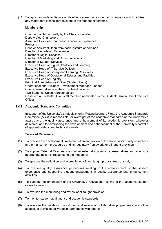(11) To report annually to Senate on its effectiveness, to respond to its requests and to advise on any matter that it considers relevant to the student experience.

## **Membership**

Chair, appointed annually by the Chair of Senate Deputy Vice-Chancellors Associate Pro Vice-Chancellor (Academic Experience) Provosts Dean or Assistant Dean from each Institute or nominee Director of Academic Experience Director of Digital Services Director of Marketing and Communications Director of Student Services Executive Head of Digital Creativity and Learning Executive Head of IT Service Delivery Executive Head of Library and Learning Resources Executive Head of Operational Estates and Facilities Executive Head of Registry Principal Administrative Officer (Student Hubs) Operational and Business Development Manager (London) One representative from the constituent colleges Two Students' Union representatives Observer: a Students' Union staff member, nominated by the Students' Union Chief Executive **Officer** 

## **2.4.2 Academic Standards Committee**

In support of the University's strategic priority 'Putting Learners First', the Academic Standards Committee (ASC) is responsible for oversight of the academic standards of the University's awards and the quality assurance and enhancement of its academic provision, wherever delivered, and for overseeing the development and enhancement of the University's portfolio of apprenticeships and technical awards.

- (1) To oversee the development, implementation and review of the University's quality assurance and enhancement procedures and its regulatory framework for all taught provision;
- (2) To appoint External Examiners and other external academic representatives and to ensure appropriate action in response to their feedback;
- (3) To approve the validation and accreditation of new taught programmes of study;
- (4) To oversee quality assurance procedures relating to the enhancement of the student experience and supporting student engagement in quality assurance and enhancement activities;
- (5) To oversee implementation of the University's regulations relating to the academic student cases framework;
- (6) To oversee the monitoring and review of all taught provision;
- (7) To monitor student attainment and academic standards;
- (8) To oversee the validation, monitoring and review of collaborative programmes, and other aspects of provision delivered in partnership with others;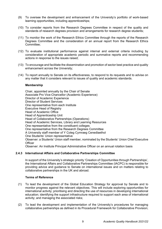- (9) To oversee the development and enhancement of the University's portfolio of work-based learning opportunities, including apprenticeships;
- (10) To consider reports from the Research Degrees Committee in respect of the quality and standards of research degrees provision and arrangements for research degree students;
- (11) To monitor the work of the Research Ethics Committee through the reports of the Research Degrees Committee and the consideration of an annual report from the Research Ethics Committee;
- (12) To evaluate institutional performance against internal and external criteria including by consideration of appropriate academic periodic and summative reports and recommending actions in response to the issues raised;
- (13) To encourage and facilitate the dissemination and promotion of sector best practice and quality enhancement across the University;
- (14) To report annually to Senate on its effectiveness, to respond to its requests and to advise on any matter that it considers relevant to issues of quality and academic standards.

Chair, appointed annually by the Chair of Senate Associate Pro Vice-Chancellor (Academic Experience) Director of Academic Experience Director of Student Services One representative from each Institute Executive Head of Registry Head of Academic Office Head of Apprenticeship Unit Head of Collaborative Partnerships (Operations) Head of Academic Services, Library and Learning Resources One representative from the constituent colleges One representative from the Research Degrees Committee A University staff member of Y Coleg Cymraeg Cenedlaethol One Students' Union representative Observer: a Students' Union staff member, nominated by the Students' Union Chief Executive **Officer** Observer: An Institute Principal Administrative Officer on an annual rotation basis

## **2.4.3 International Affairs and Collaborative Partnerships Committee**

In support of the University's strategic priority 'Creation of Opportunities through Partnerships', the International Affairs and Collaborative Partnerships Committee (IACPC) is responsible for providing advice and guidance to Senate on international issues and on matters relating to collaborative partnerships in the UK and abroad.

- (1) To lead the development of the Global Education Strategy for approval by Senate and to monitor progress against the relevant objectives. This will include exploring opportunities for international activity; prioritising and directing the use of resources in developing international education; identifying the support infrastructure required to support each area of international activity; and managing the associated risks;
- (2) To lead the development and implementation of the University's procedures for managing collaborative partnerships as defined in its Procedural Framework for Collaborative Provision;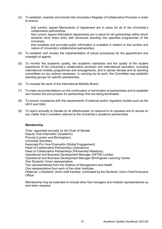- (3) To establish, maintain and monitor the University's Register of Collaborative Provision in order to ensure:
	- that current, signed Memoranda of Agreement are in place for all of the University's collaborative partnerships;
	- that current, signed Articulation Agreements are in place for all partnerships within which students have direct entry with advanced standing into specified programmes of the University;
	- that complete and accurate public information is available in relation to the number and nature of University's collaborative partnerships;
- (4) To establish and monitor the implementation of robust procedures for the appointment and oversight of agents;
- (5) To monitor the academic quality, the academic standards and the quality of the student experience of the University's collaborative provision and international education, including international mobility programmes and arrangements, and to advise Senate and its standing committees on any actions necessary. In carrying out its work, the Committee may establish standing groups for specific partnerships;
- (6) To oversee the work of the International Mobility Board;
- (7) To make recommendations on the continuation or termination of partnerships and to establish and monitor the exit process for partnerships that are being terminated;
- (8) To ensure compliance with the requirements of external and/or regulatory bodies such as the UKVI and QAA;
- (9) To report annually to Senate on its effectiveness, to respond to its requests and to advise on any matter that it considers relevant to the University's academic partnerships.

Chair, appointed annually by the Chair of Senate Deputy Vice-Chancellor (Academic) Provost (London and Birmingham) University Secretary Associate Pro Vice-Chancellor (Global Engagement) Head of Collaborative Partnerships (Operations) Head of Collaborative Partnerships (Partnership Relations) Operational and Business Development Manager UWTSD London Operational and Business Development Manager Birmingham Learning Centre One Students' Union representative Two representatives from the Institute of Management and Health One representative from each of the other Institutes Observer: a Students' Union staff member, nominated by the Students' Union Chief Executive **Officer** 

Membership may be extended to include other line managers and Institute representatives as and when required.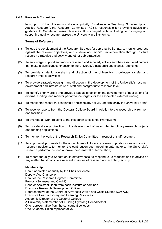## **2.4.4 Research Committee**

In support of the University's strategic priority 'Excellence in Teaching, Scholarship and Applied Research', the Research Committee (RC) is responsible for providing advice and guidance to Senate on research issues. It is charged with facilitating, encouraging and supporting quality research across the University in all its forms.

#### **Terms of Reference**

- (1) To lead the development of the Research Strategy for approval by Senate, to monitor progress against the relevant objectives, and to drive and monitor implementation through Institute research strategies and activity and other sub-strategies;
- (2) To encourage, support and monitor research and scholarly activity and their associated outputs that make a significant contribution to the University's academic and financial standing;
- (3) To provide strategic oversight and direction of the University's knowledge transfer and research impact activities;
- (4) To provide strategic oversight and direction in the development of the University's research environment and infrastructure at staff and postgraduate research level;
- (5) To identify priority areas and provide strategic direction on the development of applications for external funding, and monitor performance targets for the associated external funding;
- (6) To monitor the research, scholarship and scholarly activity undertaken by the University's staff;
- (7) To receive reports from the Doctoral College Board in relation to the research environment and facilities;
- (8) To oversee all work relating to the Research Excellence Framework;
- (9) To provide strategic direction on the development of major interdisciplinary research projects and funding applications;
- (10) To monitor the work of the Research Ethics Committee in respect of staff research;
- (11) To approve all proposals for the appointment of Honorary research, post-doctoral and visiting research positions, to monitor the contribution such appointments make to the University's research performance, and approve their renewal or termination;
- (12) To report annually to Senate on its effectiveness, to respond to its requests and to advise on any matter that it considers relevant to issues of research and scholarly activity.

#### **Membership**

Chair, appointed annually by the Chair of Senate Deputy Vice-Chancellor Chair of the Research Degrees Committee Provost (Swansea and Cardiff) Dean or Assistant Dean from each Institute or nominee Executive Research Development Officer Representative of the Centre of Advanced Welsh and Celtic Studies (CAWCS) Executive Head of Library and Learning Resources Academic Director of the Doctoral College A University staff member of Y Coleg Cymraeg Cenedlaethol One representative from the constituent colleges One Students' Union representative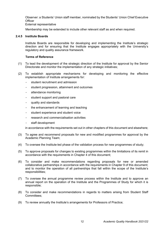Observer: a Students' Union staff member, nominated by the Students' Union Chief Executive **Officer** 

#### External representative

Membership may be extended to include other relevant staff as and when required.

## **2.4.5 Institute Boards**

Institute Boards are responsible for developing and implementing the Institute's strategic direction and for ensuring that the Institute engages appropriately with the University's regulatory and quality assurance framework.

## **Terms of Reference**

- (1) To lead the development of the strategic direction of the Institute for approval by the Senior Directorate and monitor the implementation of any strategic initiatives;
- (2) To establish appropriate mechanisms for developing and monitoring the effective implementation of Institute arrangements for:
	- student recruitment and admission
	- student progression, attainment and outcomes
	- attendance monitoring
	- student support and pastoral care
	- quality and standards
	- the enhancement of learning and teaching
	- student experience and student voice
	- research and commercialisation activities
	- staff development

in accordance with the requirements set out in other chapters of this document and elsewhere;

- (3) To agree and recommend proposals for new and modified programmes for approval by the Academic Planning Team;
- (4) To oversee the Institute-led phase of the validation process for new programmes of study;
- (5) To approve proposals for changes to existing programmes within the limitations of its remit in accordance with the requirements in Chapter 4 of this document;
- (6) To consider and make recommendations regarding proposals for new or amended collaborative partnerships in accordance with the requirements in Chapter 9 of this document; and to monitor the operation of all partnerships that fall within the scope of the Institute's responsibilities;
- (7) To oversee the annual programme review process within the Institute and to approve an annual report on the operation of the Institute and the Programmes of Study for which it is responsible;
- (8) To consider and make recommendations in regards to matters arising from Student Staff Committees;
- (9) To review annually the Institute's arrangements for Professors of Practice;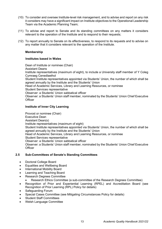- (10) To consider and oversee Institute-level risk management, and to advise and report on any risk it considers may have a significant impact on Institute objectives to the Operational Leadership Team via the Academic Planning Team;
- (11) To advise and report to Senate and its standing committees on any matters it considers relevant to the operation of the Institute and to respond to their requests;
- (12) To report annually to Senate on its effectiveness, to respond to its requests and to advise on any matter that it considers relevant to the operation of the Institute.

## **Institutes based in Wales**

Dean of Institute or nominee (Chair) Assistant Deans Institute representatives (maximum of eight), to include a University staff member of Y Coleg Cymraeg Cenedlaethol

Student Institute representatives appointed via Students' Union, the number of which shall be agreed annually by the Institute and the Students' Union

Head of Academic Services, Library and Learning Resources, or nominee

Student Services representative

Observer: a Students' Union sabbatical officer

Observer: a Students' Union staff member, nominated by the Students' Union Chief Executive **Officer** 

## **Institute of Inner City Learning**

Provost or nominee (Chair) Executive Dean Assistant Dean(s) Institute representatives (maximum of eight) Student Institute representatives appointed via Students' Union, the number of which shall be agreed annually by the Institute and the Students' Union Head of Academic Services, Library and Learning Resources, or nominee Student Services representative Observer: a Students' Union sabbatical officer Observer: a Students' Union staff member, nominated by the Students' Union Chief Executive **Officer** 

## **2.5 Sub-Committees of Senate's Standing Committees**

- Doctoral College Board
- Equalities and Wellbeing Board
- International Mobility Board
- Learning and Teaching Board
- Research Degrees Committee
	- Research Ethics Committee (a sub-committee of the Research Degrees Committee)
- Recognition of Prior and Experiential Learning (RPEL) and Accreditation Board (see Recognition of Prior Learning (RPL) Policy for details)
- Safeguarding Forum
- Special Cases Committee (see Mitigating Circumstances Policy for details)
- Student Staff Committees
- Welsh Language Committee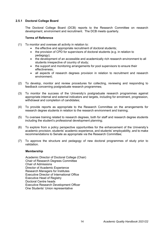## **2.5.1 Doctoral College Board**

The Doctoral College Board (DCB) reports to the Research Committee on research development, environment and recruitment. The DCB meets quarterly.

## **Terms of Reference**

- (1) To monitor and oversee all activity in relation to:
	- the effective and appropriate recruitment of doctoral students;
	- the provision of CPD for supervisors of doctoral students (e.g. in relation to pedagogy);
	- the development of an accessible and academically rich research environment to all students irrespective of country of study;
	- the support and monitoring arrangements for pool supervisors to ensure their effectiveness;
	- all aspects of research degrees provision in relation to recruitment and research environment;
- (2) To develop, monitor and review procedures for collecting, reviewing and responding to feedback concerning postgraduate research programmes;
- (3) To monitor the success of the University's postgraduate research programmes against appropriate internal and external indicators and targets, including for enrolment, progression, withdrawal and completion of candidates;
- (4) To provide reports as appropriate to the Research Committee on the arrangements for research degree students in relation to the research environment and training;
- (5) To oversee training related to research degrees, both for staff and research degree students including the student's professional development planning;
- (6) To explore from a policy perspective opportunities for the enhancement of the University's academic provision, students' academic experience, and students' employability, and to make recommendations to Senate as appropriate via the Research Committee;
- (7) To approve the structure and pedagogy of new doctoral programmes of study prior to validation.

#### **Membership**

Academic Director of Doctoral College (Chair) Chair of Research Degrees Committee Chair of Admissions Director of Academic Experience Research Managers for Institutes Executive Director of International Office Executive Head of Registry Doctoral Centre heads Executive Research Development Officer One Students' Union representative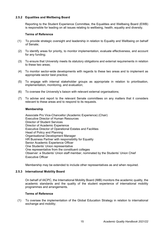## **2.5.2 Equalities and Wellbeing Board**

Reporting to the Student Experience Committee, the Equalities and Wellbeing Board (EWB) is responsible for leading on all issues relating to wellbeing, health, equality and diversity.

## **Terms of Reference**

- (1) To provide strategic oversight and leadership in relation to Equality and Wellbeing on behalf of Senate;
- (2) To identify areas for priority, to monitor implementation, evaluate effectiveness, and account for any funding;
- (3) To ensure that University meets its statutory obligations and external requirements in relation to these two areas;
- (4) To monitor sector-wide developments with regards to these two areas and to implement as appropriate sector best practice;
- (5) To engage with internal stakeholder groups as appropriate in relation to prioritisation, implementation, monitoring, and evaluation;
- (6) To oversee the University's liaison with relevant external organisations;
- (7) To advise and report to the relevant Senate committees on any matters that it considers relevant to these areas and to respond to its requests.

#### **Membership**

Associate Pro Vice-Chancellor (Academic Experience) (Chair) Executive Director of Human Resources Director of Student Services Director of Academic Experience Executive Director of Operational Estates and Facilities Head of Policy and Planning Organisational Development Manager HR Business Partner with responsibility for Equality Senior Academic Experience Officer One Students' Union representative One representative from the constituent colleges Observer: a Students' Union staff member, nominated by the Students' Union Chief Executive Officer

Membership may be extended to include other representatives as and when required.

#### **2.5.3 International Mobility Board**

On behalf of IACPC, the International Mobility Board (IMB) monitors the academic quality, the academic standards and the quality of the student experience of international mobility programmes and arrangements.

#### **Terms of Reference**

(1) To oversee the implementation of the Global Education Strategy in relation to international exchange and mobility;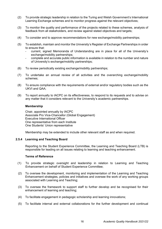- (2) To provide strategic leadership in relation to the Turing and Welsh Government's International Learning Exchange schemes and to monitor progress against the relevant objectives;
- (3) To monitor the quality and performance of the projects related to these schemes, analysis of feedback from all stakeholders, and review against stated objectives and targets;
- (4) To consider and to approve recommendations for new exchange/mobility partnerships;
- (5) To establish, maintain and monitor the University's Register of Exchange Partnerships in order to ensure that:
	- current, signed Memoranda of Understanding are in place for all of the University's exchange/mobility partnerships;
	- complete and accurate public information is available in relation to the number and nature of University's exchange/mobility partnerships;
- (6) To review periodically existing exchange/mobility partnerships;
- (7) To undertake an annual review of all activities and the overarching exchange/mobility schemes;
- (8) To ensure compliance with the requirements of external and/or regulatory bodies such as the UKVI and QAA;
- (9) To report annually to IACPC on its effectiveness, to respond to its requests and to advise on any matter that it considers relevant to the University's academic partnerships.

Chair, appointed annually by IACPC Associate Pro Vice-Chancellor (Global Engagement) Executive International Officer One representative from each Institute One Students' Union representative

Membership may be extended to include other relevant staff as and when required.

#### **2.5.4 Learning and Teaching Board**

Reporting to the Student Experience Committee, the Learning and Teaching Board (LTB) is responsible for leading on all issues relating to learning and teaching enhancement.

- (1) To provide strategic oversight and leadership in relation to Learning and Teaching Enhancement on behalf of Student Experience Committee;
- (2) To oversee the development, monitoring and implementation of the Learning and Teaching Enhancement strategies, policies and initiatives and oversee the work of any working groups associated with Learning and Teaching;
- (3) To oversee the framework to support staff to further develop and be recognised for their enhancement of learning and teaching;
- (4) To facilitate engagement in pedagogic scholarship and learning innovations;
- (5) To facilitate internal and external collaborations for the further development and continual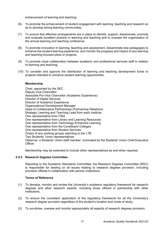enhancement of learning and teaching;

- (6) To promote the enhancement of student engagement with learning, teaching and research so as to develop strong learning communities;
- (7) To ensure that effective arrangements are in place to identify, support, disseminate, promote and evaluate excellent practice in learning and teaching and to oversee the organisation of the annual learning and teaching conference;
- (8) To promote innovation in learning, teaching and assessment, disseminate new pedagogies to enhance the student learning experience, and monitor the progress and impact of any learning and teaching focused pilots or projects;
- (9) To promote close collaboration between academic and professional services staff in relation to learning and teaching;
- (10) To consider and approve the distribution of learning and teaching development funds to projects intended to enhance student learning opportunities.

## **Membership**

Chair, appointed by the SEC Deputy Vice-Chancellor Associate Pro-Vice Chancellor (Academic Experience) Director of Digital Services Director of Academic Experience Organisational Development Manager Head of Collaborative Partnerships (Partnership Relations) Strategic Learning and Teaching Lead from each Institute One representative from IT&S One representative from Library and Learning Resources One representative from Technology Enhanced Learning One representative from the Constituent Colleges One representative from Student Services Chairs of any working groups reporting to the LTB Two Students' Union representatives Observer: a Students' Union staff member, nominated by the Students' Union Chief Executive **Officer** 

Membership may be extended to include other representatives as and when required.

#### **2.5.5 Research Degrees Committee**

Reporting to the Academic Standards Committee, the Research Degrees Committee (RDC) is responsible for leading on all issues relating to research degrees provision, including provision offered in collaboration with partner institutions.

- (1) To develop, monitor and review the University's academic regulatory framework for research degrees and other research awards, including those offered in partnership with other institutions;
- (2) To ensure the consistent application of the regulatory framework for all the University's research degree provision regardless of the student's location and mode of study;
- (3) To scrutinise, oversee and monitor appropriately all aspects of research degrees provision;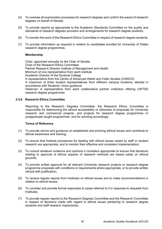- (4) To oversee all examination processes for research degrees and confirm the award of research degrees on behalf of Senate;
- (5) To provide reports as appropriate to the Academic Standards Committee on the quality and standards of research degrees provision and arrangements for research degree students;
- (6) To monitor the work of the Research Ethics Committee in respect of research degree students;
- (7) To provide information as required in relation to candidates enrolled for University of Wales research degree programmes.

Chair, appointed annually by the Chair of Senate Chair of the Research Ethics Committee Partner Research Director Institute of Management and Health Minimum of one representative from each Institute Academic Director of the Doctoral College A representative from the Centre of Advanced Welsh and Celtic Studies (CAWCS) A maximum of three student representatives from different campus locations, elected in accordance with Students' Union guidance Observer: A representative from each collaborative partner institution offering UWTSD research degree programmes

#### **2.5.6 Research Ethics Committee**

Reporting to the Research Degrees Committee, the Research Ethics Committee is responsible for determining the ethical acceptability or otherwise of proposals for University research and commercial projects, and projects for research degree programmes or postgraduate taught programmes, and for advising accordingly.

- (1) To provide advice and guidance on established and evolving ethical issues and contribute to ethical awareness and training;
- (2) To ensure that Institute procedures for dealing with ethical issues raised by staff or student research are appropriate, and to monitor their effective and consistent implementation;
- (3) To consult whatever evidence and opinions it considers appropriate to ensure that decisions relating to approval of ethical aspects of research methods are based solely on ethical grounds;
- (4) To provide written approval for all relevant University research projects or research degree programme proposals with conditions or requirements where appropriate, or to provide written refusal with justification;
- (5) To receive regular reports from Institutes on ethical issues and to make recommendations in relation to ethical issues;
- (6) To consider and provide formal responses to cases referred to it in response to requests from Institutes;
- (7) To provide regular reports to the Research Degrees Committee and the Research Committee in respect of decisions made with regard to ethical issues pertaining to research degree students and staff research respectively;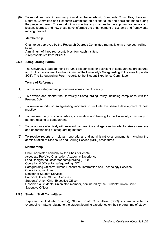(8) To report annually in summary format to the Academic Standards Committee, Research Degrees Committee and Research Committee on actions taken and decisions made during the preceding year. The report will also outline any changes to the approval framework and lessons learned, and how these have informed the enhancement of systems and frameworks moving forward.

#### **Membership**

Chair to be approved by the Research Degrees Committee (normally on a three-year rolling basis)

A minimum of three representatives from each Institute A representative from INSPIRE

#### **2.5.7 Safeguarding Forum**

The University's Safeguarding Forum is responsible for oversight of safeguarding procedures and for the development and monitoring of the University's Safeguarding Policy (see Appendix SQ1). The Safeguarding Forum reports to the Student Experience Committee.

#### **Terms of Reference**

- (1) To oversee safeguarding procedures across the University;
- (2) To develop and monitor the University's Safeguarding Policy, including compliance with the Prevent Duty;
- (3) To review reports on safeguarding incidents to facilitate the shared development of best practice;
- (4) To oversee the provision of advice, information and training to the University community in matters relating to safeguarding;
- (5) To collaborate effectively with relevant partnerships and agencies in order to raise awareness and understanding of safeguarding matters;
- (6) To receive reports on relevant operational and administrative arrangements including the administration of Disclosure and Barring Service (DBS) procedures.

#### **Membership**

Chair, appointed annually by the Chair of Senate Associate Pro Vice-Chancellor (Academic Experience) Lead Designated Officer for safeguarding (LDO) Operational Officer for safeguarding (OO) Safeguarding Officers: Human Resources; Information and Technology Services; Operations; Institutes Director of Student Services Principal Officer, Student Services Students' Union Chief Executive Officer Observer: a Students' Union staff member, nominated by the Students' Union Chief Executive Officer

#### **2.5.8 Student Staff Committees**

Reporting to Institute Board(s), Student Staff Committees (SSC) are responsible for overseeing matters relating to the student learning experience on their programme of study.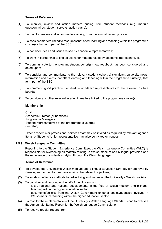#### **Terms of Reference**

- (1) To monitor, review and action matters arising from student feedback (e.g. module questionnaires; student surveys; action plans);
- (2) To monitor, review and action matters arising from the annual review process;
- (3) To consider matters linked to resources that affect learning and teaching within the programme cluster(s) that form part of the SSC;
- (4) To consider ideas and issues raised by academic representatives;
- (5) To work in partnership to find solutions for matters raised by academic representatives;
- (6) To communicate to the relevant student cohort(s) how feedback has been considered and acted upon;
- (7) To consider and communicate to the relevant student cohort(s) significant university news, information and events that affect learning and teaching within the programme cluster(s) that form part of the SSC;
- (8) To commend good practice identified by academic representatives to the relevant Institute board(s);
- (9) To consider any other relevant academic matters linked to the programme cluster(s).

#### **Membership**

**Chair** Academic Director (or nominee) Programme Managers Student representatives of the programme cluster(s) **Secretary** 

Other academic or professional services staff may be invited as required by relevant agenda items. A Students' Union representative may also be invited on request.

#### **2.5.9 Welsh Language Committee**

Reporting to the Student Experience Committee, the Welsh Language Committee (WLC) is responsible for overseeing all matters relating to Welsh-medium and bilingual provision and the experience of students studying through the Welsh language.

- (1) To develop the University's Welsh-medium and Bilingual Education Strategy for approval by Senate, and to monitor progress against the relevant objectives;
- (2) To establish effective methods for advertising and marketing the University's Welsh provision;
- (3) To consider and respond on behalf of the University to:
	- local, regional and national developments in the field of Welsh-medium and bilingual teaching within the higher education sector;
	- documents/policies from the Welsh Government or other bodies/agencies involved in Welsh-medium teaching within the higher education sector;
- (4) To monitor the implementation of the University's Welsh Language Standards and to oversee the Annual Monitoring Report for the Welsh Language Commissioner;
- (5) To receive regular reports from: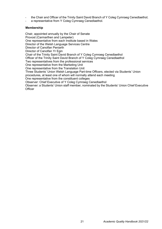- the Chair and Officer of the Trinity Saint David Branch of Y Coleg Cymraeg Cenedlaethol;
- a representative from Y Coleg Cymraeg Cenedlaethol.

Chair, appointed annually by the Chair of Senate Provost (Carmarthen and Lampeter) One representative from each Institute based in Wales Director of the Welsh Language Services Centre Director of Canolfan Peniarth Director of Canolfan Yr Egin Chair of the Trinity Saint David Branch of Y Coleg Cymraeg Cenedlaethol Officer of the Trinity Saint David Branch of Y Coleg Cymraeg Cenedlaethol Two representatives from the professional services One representative from the Marketing Unit One representative from the Translation Unit Three Students' Union Welsh Language Part-time Officers, elected via Students' Union procedures, at least one of whom will normally attend each meeting One representative from the constituent colleges Observer: Chief Executive of Y Coleg Cymraeg Cenedlaethol Observer: a Students' Union staff member, nominated by the Students' Union Chief Executive **Officer**